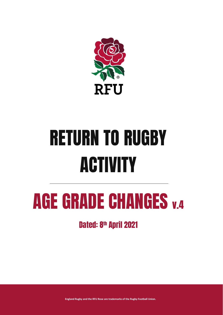

# RETURN TO RUGBY **ACTIVITY**

## AGE GRADE CHANGES v.4

Dated: 8<sup>th</sup> April 2021

**England Rugby and the RFU Rose are trademarks of the Rugby Football Union.**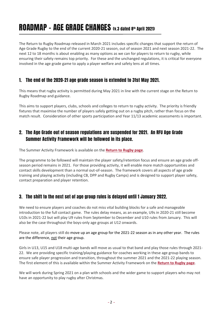## ROADMAP - AGE GRADE CHANGES (v.3 dated 8th April 2021)

The Return to Rugby Roadmap released in March 2021 includes specific changes that support the return of Age Grade Rugby to the end of the current 2020-21 season, out of season 2021 and next season 2021-22. The next 12 to 18 months is about enabling as many options as we can for players to return to rugby, while ensuring their safety remains top priority. For these and the unchanged regulations, it is critical for everyone involved in the age grade game to apply a player welfare and safety lens at all times.

#### 1. The end of the 2020-21 age grade season is extended to 31st May 2021.

This means that rugby activity is permitted during May 2021 in line with the current stage on the Return to Rugby Roadmap and guidance.

This aims to support players, clubs, schools and colleges to return to rugby activity. The priority is friendly fixtures that maximise the number of players safely getting out on a rugby pitch, rather than focus on the match result. Consideration of other sports participation and Year 11/13 academic assessments is important.

#### 2. The Age Grade out of season regulations are suspended for 2021. An RFU Age Grade Summer Activity Framework will be followed in its place.

The Summer Activity Framework is available on the **[Return to Rugby page](https://www.englandrugby.com/participation/running-your-club/coronavirus/return-to-rugby)**.

The programme to be followed will maintain the player safety/retention focus and ensure an age grade offseason period remains in 2021. For those providing activity, it will enable more match opportunities and contact skills development than a normal out-of-season. The framework covers all aspects of age grade training and playing activity (including CB, DPP and Rugby Camps) and is designed to support player safety, contact preparation and player retention.

#### 3. The shift to the next set of age group rules is delayed until 1 January 2022.

We need to ensure players and coaches do not miss vital building blocks for a safe and manageable introduction to the full contact game. The rules delay means, as an example, U9s in 2020-21 still become U10s in 2021-22 but will play U9 rules from September to December and U10 rules from January. This will also be the case throughout the boys-only age groups at U12 onwards.

Please note, all players still do move up an age group for the 2021-22 season as in any other year. The rules are the difference, not their age group.

Girls in U13, U15 and U18 multi-age bands will move as usual to that band and play those rules through 2021- 22. We are providing specific training/playing guidance for coaches working in these age group bands to ensure safe player progression and transition, throughout the summer 2021 and the 2021-22 playing season. The first element of this is available within the Summer Activity Framework on the **[Return to Rugby page](https://www.englandrugby.com/participation/running-your-club/coronavirus/return-to-rugby)**.

We will work during Spring 2021 on a plan with schools and the wider game to support players who may not have an opportunity to play rugby after Christmas.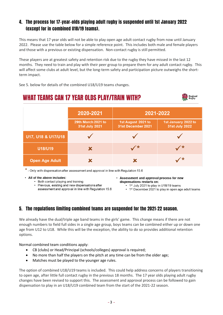#### 4. The process for 17-year-olds playing adult rugby is suspended until 1st January 2022 (except for in combined U18/19 teams).

This means that 17 year olds will not be able to play open age adult contact rugby from now until January 2022. Please use the table below for a simple reference point. This includes both male and female players and those with a previous or existing dispensation. Non-contact rugby is still permitted.

These players are at greatest safety and retention risk due to the rugby they have missed in the last 12 months. They need to train and play with their peer group to prepare them for any adult contact rugby. This will affect some clubs at adult level, but the long-term safety and participation picture outweighs the shortterm impact.

See 5. below for details of the combined U18/U19 teams changes.

## **WHAT TEAMS CAN 17 YEAR OLDS PLAY/TRAIN WITH?**



 $*$  - Only with dispensation after assessment and approval in line with Regulation 15.6

• All of the above includes:

- Both contact playing and training
- Previous, existing and new dispensations after assessment and approval in line with Regulation 15.6
- Assessment and approval process for new dispensations restarts on:
	- 1st July 2021 to play in U18/19 teams
	- 1<sup>st</sup> December 2021 to play in open age adult teams

#### 5. The regulations limiting combined teams are suspended for the 2021-22 season.

We already have the dual/triple age band teams in the girls' game. This change means if there are not enough numbers to field full sides in a single age group, boys teams can be combined either up or down one age from U12 to U18. While this will be the exception, the ability to do so provides additional retention options.

Normal combined team conditions apply:

- CB (clubs) or Head/Principal (schools/colleges) approval is required;
- No more than half the players on the pitch at any time can be from the older age;
- Matches must be played to the younger age rules.

The option of combined U18/U19 teams is included. This could help address concerns of players transitioning to open age, after little full contact rugby in the previous 18 months. The 17 year olds playing adult rugby changes have been revised to support this. The assessment and approval process can be followed to gain dispensation to play in an U18/U19 combined team from the start of the 2021-22 season.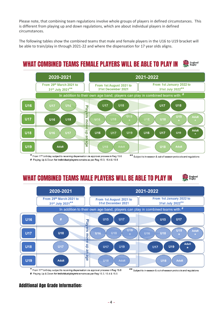Please note, that combining team regulations involve whole groups of players in defined circumstances. This is different from playing up and down regulations, which are about individual players in defined circumstances.

The following tables show the combined teams that male and female players in the U16 to U19 bracket will be able to train/play in through 2021-22 and where the dispensation for 17 year olds aligns.

#### WHAT COMBINED TEAMS FEMALE PLAYERS WILL BE ABLE TO PLAY IN England<br>Rugby



# Playing Up & Down for individual players remains as per Reg 15.3, 15.4 & 15.5

\*\* Subject to in-season & out-of-season protocols and regulations

## WHAT COMBINED TEAMS MALE PLAYERS WILL BE ABLE TO PLAY IN





# Playing Up & Down for individual players remains as per Reg 15.3, 15.4 & 15.5

\*\* Subject to in-season & out-of-season protocols and regulations

#### Additional Age Grade Information: